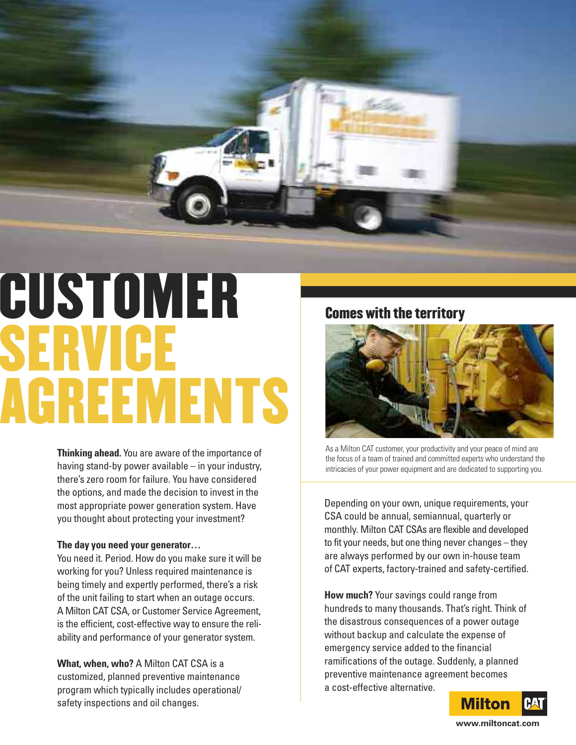

# **CUSTOMER SERVICE AGREEMENTS**

**Thinking ahead.** You are aware of the importance of having stand-by power available – in your industry, there's zero room for failure. You have considered the options, and made the decision to invest in the most appropriate power generation system. Have you thought about protecting your investment?

#### **The day you need your generator…**

You need it. Period. How do you make sure it will be working for you? Unless required maintenance is being timely and expertly performed, there's a risk of the unit failing to start when an outage occurs. A Milton CAT CSA, or Customer Service Agreement, is the efficient, cost-effective way to ensure the reliability and performance of your generator system.

**What, when, who?** A Milton CAT CSA is a customized, planned preventive maintenance program which typically includes operational/ safety inspections and oil changes.

**Comes with the territory**



As a Milton CAT customer, your productivity and your peace of mind are the focus of a team of trained and committed experts who understand the intricacies of your power equipment and are dedicated to supporting you.

Depending on your own, unique requirements, your CSA could be annual, semiannual, quarterly or monthly. Milton CAT CSAs are flexible and developed to fit your needs, but one thing never changes – they are always performed by our own in-house team of CAT experts, factory-trained and safety-certified.

**How much?** Your savings could range from hundreds to many thousands. That's right. Think of the disastrous consequences of a power outage without backup and calculate the expense of emergency service added to the financial ramifications of the outage. Suddenly, a planned preventive maintenance agreement becomes a cost-effective alternative.